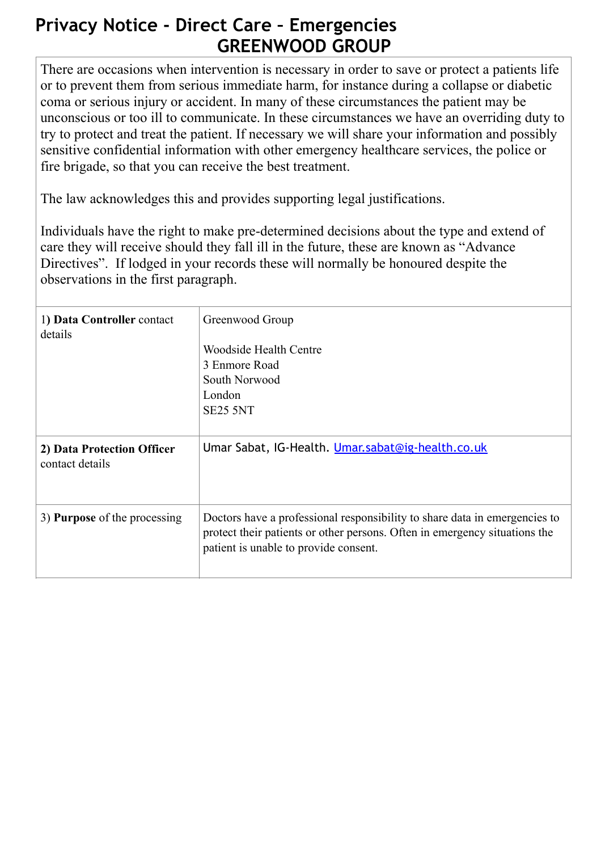## **Privacy Notice - Direct Care – Emergencies GREENWOOD GROUP**

There are occasions when intervention is necessary in order to save or protect a patients life or to prevent them from serious immediate harm, for instance during a collapse or diabetic coma or serious injury or accident. In many of these circumstances the patient may be unconscious or too ill to communicate. In these circumstances we have an overriding duty to try to protect and treat the patient. If necessary we will share your information and possibly sensitive confidential information with other emergency healthcare services, the police or fire brigade, so that you can receive the best treatment.

The law acknowledges this and provides supporting legal justifications.

Individuals have the right to make pre-determined decisions about the type and extend of care they will receive should they fall ill in the future, these are known as "Advance Directives". If lodged in your records these will normally be honoured despite the observations in the first paragraph.

| 1) Data Controller contact<br>details         | Greenwood Group<br>Woodside Health Centre<br>3 Enmore Road<br>South Norwood<br>London<br>SE25 5NT                                                                                                 |
|-----------------------------------------------|---------------------------------------------------------------------------------------------------------------------------------------------------------------------------------------------------|
| 2) Data Protection Officer<br>contact details | Umar Sabat, IG-Health. Umar.sabat@ig-health.co.uk                                                                                                                                                 |
| 3) <b>Purpose</b> of the processing           | Doctors have a professional responsibility to share data in emergencies to<br>protect their patients or other persons. Often in emergency situations the<br>patient is unable to provide consent. |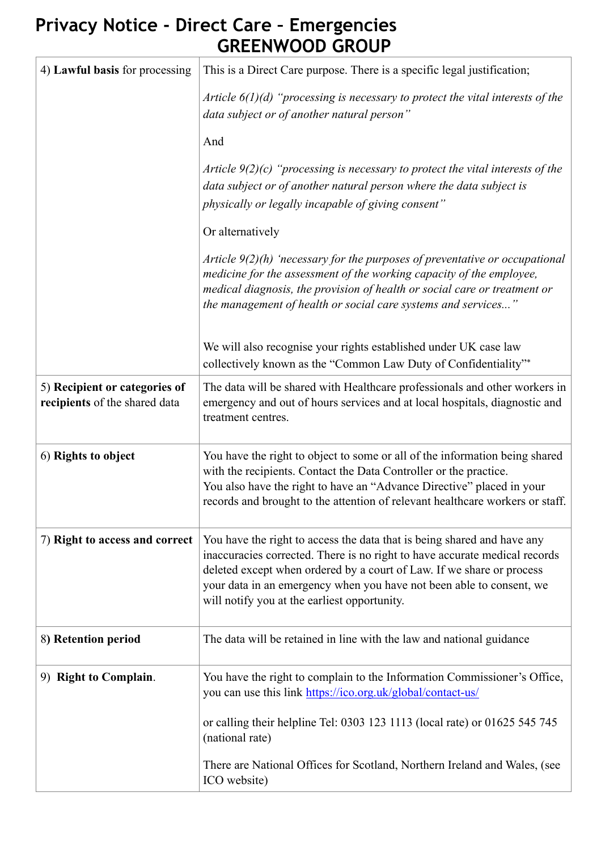## **Privacy Notice - Direct Care – Emergencies GREENWOOD GROUP**

| 4) Lawful basis for processing                                 | This is a Direct Care purpose. There is a specific legal justification;                                                                                                                                                                                                                                                                                |
|----------------------------------------------------------------|--------------------------------------------------------------------------------------------------------------------------------------------------------------------------------------------------------------------------------------------------------------------------------------------------------------------------------------------------------|
|                                                                | Article $6(1)(d)$ "processing is necessary to protect the vital interests of the<br>data subject or of another natural person"                                                                                                                                                                                                                         |
|                                                                | And                                                                                                                                                                                                                                                                                                                                                    |
|                                                                | Article $9(2)(c)$ "processing is necessary to protect the vital interests of the<br>data subject or of another natural person where the data subject is<br>physically or legally incapable of giving consent"                                                                                                                                          |
|                                                                | Or alternatively                                                                                                                                                                                                                                                                                                                                       |
|                                                                | Article $9(2)(h)$ 'necessary for the purposes of preventative or occupational<br>medicine for the assessment of the working capacity of the employee,<br>medical diagnosis, the provision of health or social care or treatment or<br>the management of health or social care systems and services"                                                    |
|                                                                | We will also recognise your rights established under UK case law<br>collectively known as the "Common Law Duty of Confidentiality"*                                                                                                                                                                                                                    |
| 5) Recipient or categories of<br>recipients of the shared data | The data will be shared with Healthcare professionals and other workers in<br>emergency and out of hours services and at local hospitals, diagnostic and<br>treatment centres.                                                                                                                                                                         |
| 6) Rights to object                                            | You have the right to object to some or all of the information being shared<br>with the recipients. Contact the Data Controller or the practice.<br>You also have the right to have an "Advance Directive" placed in your<br>records and brought to the attention of relevant healthcare workers or staff.                                             |
| 7) Right to access and correct                                 | You have the right to access the data that is being shared and have any<br>inaccuracies corrected. There is no right to have accurate medical records<br>deleted except when ordered by a court of Law. If we share or process<br>your data in an emergency when you have not been able to consent, we<br>will notify you at the earliest opportunity. |
| 8) Retention period                                            | The data will be retained in line with the law and national guidance                                                                                                                                                                                                                                                                                   |
| 9) Right to Complain.                                          | You have the right to complain to the Information Commissioner's Office,<br>you can use this link https://ico.org.uk/global/contact-us/                                                                                                                                                                                                                |
|                                                                | or calling their helpline Tel: 0303 123 1113 (local rate) or 01625 545 745<br>(national rate)                                                                                                                                                                                                                                                          |
|                                                                | There are National Offices for Scotland, Northern Ireland and Wales, (see<br>ICO website)                                                                                                                                                                                                                                                              |